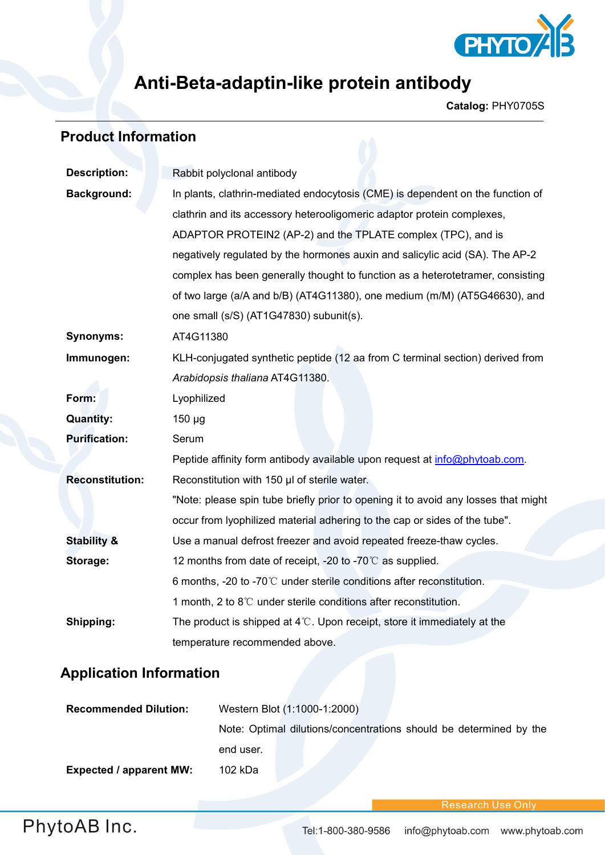

## **Anti-Beta-adaptin-like protein antibody**

**Catalog:** PHY0705S

# **Product Information**

| <b>Description:</b>    | Rabbit polyclonal antibody                                                                                                                                                                                                                  |  |  |
|------------------------|---------------------------------------------------------------------------------------------------------------------------------------------------------------------------------------------------------------------------------------------|--|--|
| <b>Background:</b>     | In plants, clathrin-mediated endocytosis (CME) is dependent on the function of                                                                                                                                                              |  |  |
|                        | clathrin and its accessory heterooligomeric adaptor protein complexes,<br>ADAPTOR PROTEIN2 (AP-2) and the TPLATE complex (TPC), and is                                                                                                      |  |  |
|                        |                                                                                                                                                                                                                                             |  |  |
|                        | negatively regulated by the hormones auxin and salicylic acid (SA). The AP-2<br>complex has been generally thought to function as a heterotetramer, consisting<br>of two large (a/A and b/B) (AT4G11380), one medium (m/M) (AT5G46630), and |  |  |
|                        |                                                                                                                                                                                                                                             |  |  |
|                        |                                                                                                                                                                                                                                             |  |  |
|                        | one small (s/S) (AT1G47830) subunit(s).                                                                                                                                                                                                     |  |  |
| <b>Synonyms:</b>       | AT4G11380                                                                                                                                                                                                                                   |  |  |
| Immunogen:             | KLH-conjugated synthetic peptide (12 aa from C terminal section) derived from                                                                                                                                                               |  |  |
|                        | Arabidopsis thaliana AT4G11380.                                                                                                                                                                                                             |  |  |
| Form:                  | Lyophilized                                                                                                                                                                                                                                 |  |  |
| <b>Quantity:</b>       | $150 \mu g$                                                                                                                                                                                                                                 |  |  |
| <b>Purification:</b>   | Serum                                                                                                                                                                                                                                       |  |  |
|                        | Peptide affinity form antibody available upon request at info@phytoab.com.                                                                                                                                                                  |  |  |
| <b>Reconstitution:</b> | Reconstitution with 150 µl of sterile water.                                                                                                                                                                                                |  |  |
|                        | "Note: please spin tube briefly prior to opening it to avoid any losses that might                                                                                                                                                          |  |  |
|                        | occur from lyophilized material adhering to the cap or sides of the tube".                                                                                                                                                                  |  |  |
| <b>Stability &amp;</b> | Use a manual defrost freezer and avoid repeated freeze-thaw cycles.                                                                                                                                                                         |  |  |
| Storage:               | 12 months from date of receipt, -20 to -70°C as supplied.                                                                                                                                                                                   |  |  |
|                        | 6 months, -20 to -70 $\degree$ C under sterile conditions after reconstitution.                                                                                                                                                             |  |  |
|                        | 1 month, 2 to 8°C under sterile conditions after reconstitution.                                                                                                                                                                            |  |  |
| Shipping:              | The product is shipped at $4^{\circ}$ . Upon receipt, store it immediately at the                                                                                                                                                           |  |  |
|                        | temperature recommended above.                                                                                                                                                                                                              |  |  |

### **Application Information**

| <b>Recommended Dilution:</b>   | Western Blot (1:1000-1:2000)                                       |
|--------------------------------|--------------------------------------------------------------------|
|                                | Note: Optimal dilutions/concentrations should be determined by the |
|                                | end user.                                                          |
| <b>Expected / apparent MW:</b> | 102 kDa                                                            |

**Research Use Only**